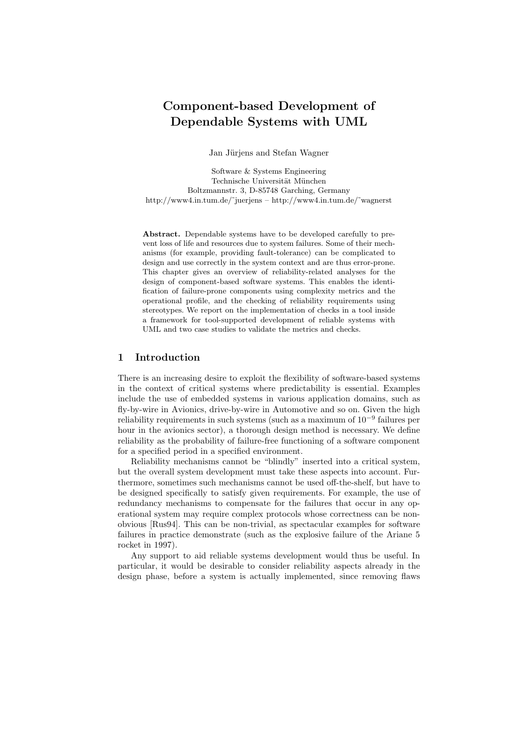# Component-based Development of Dependable Systems with UML

Jan Jürjens and Stefan Wagner

Software & Systems Engineering Technische Universität München Boltzmannstr. 3, D-85748 Garching, Germany http://www4.in.tum.de/˜juerjens – http://www4.in.tum.de/˜wagnerst

Abstract. Dependable systems have to be developed carefully to prevent loss of life and resources due to system failures. Some of their mechanisms (for example, providing fault-tolerance) can be complicated to design and use correctly in the system context and are thus error-prone. This chapter gives an overview of reliability-related analyses for the design of component-based software systems. This enables the identification of failure-prone components using complexity metrics and the operational profile, and the checking of reliability requirements using stereotypes. We report on the implementation of checks in a tool inside a framework for tool-supported development of reliable systems with UML and two case studies to validate the metrics and checks.

#### 1 Introduction

There is an increasing desire to exploit the flexibility of software-based systems in the context of critical systems where predictability is essential. Examples include the use of embedded systems in various application domains, such as fly-by-wire in Avionics, drive-by-wire in Automotive and so on. Given the high reliability requirements in such systems (such as a maximum of 10<sup>−</sup><sup>9</sup> failures per hour in the avionics sector), a thorough design method is necessary. We define reliability as the probability of failure-free functioning of a software component for a specified period in a specified environment.

Reliability mechanisms cannot be "blindly" inserted into a critical system, but the overall system development must take these aspects into account. Furthermore, sometimes such mechanisms cannot be used off-the-shelf, but have to be designed specifically to satisfy given requirements. For example, the use of redundancy mechanisms to compensate for the failures that occur in any operational system may require complex protocols whose correctness can be nonobvious [Rus94]. This can be non-trivial, as spectacular examples for software failures in practice demonstrate (such as the explosive failure of the Ariane 5 rocket in 1997).

Any support to aid reliable systems development would thus be useful. In particular, it would be desirable to consider reliability aspects already in the design phase, before a system is actually implemented, since removing flaws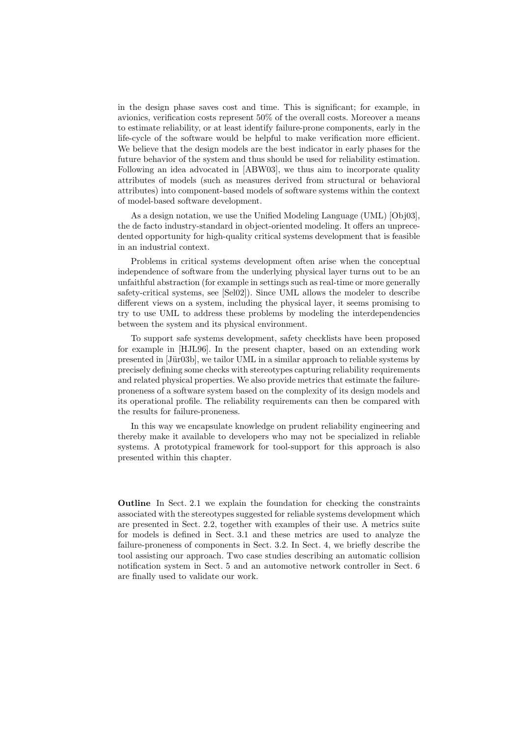in the design phase saves cost and time. This is significant; for example, in avionics, verification costs represent 50% of the overall costs. Moreover a means to estimate reliability, or at least identify failure-prone components, early in the life-cycle of the software would be helpful to make verification more efficient. We believe that the design models are the best indicator in early phases for the future behavior of the system and thus should be used for reliability estimation. Following an idea advocated in [ABW03], we thus aim to incorporate quality attributes of models (such as measures derived from structural or behavioral attributes) into component-based models of software systems within the context of model-based software development.

As a design notation, we use the Unified Modeling Language (UML) [Obj03], the de facto industry-standard in object-oriented modeling. It offers an unprecedented opportunity for high-quality critical systems development that is feasible in an industrial context.

Problems in critical systems development often arise when the conceptual independence of software from the underlying physical layer turns out to be an unfaithful abstraction (for example in settings such as real-time or more generally safety-critical systems, see [Sel02]). Since UML allows the modeler to describe different views on a system, including the physical layer, it seems promising to try to use UML to address these problems by modeling the interdependencies between the system and its physical environment.

To support safe systems development, safety checklists have been proposed for example in [HJL96]. In the present chapter, based on an extending work presented in [Jür03b], we tailor UML in a similar approach to reliable systems by precisely defining some checks with stereotypes capturing reliability requirements and related physical properties. We also provide metrics that estimate the failureproneness of a software system based on the complexity of its design models and its operational profile. The reliability requirements can then be compared with the results for failure-proneness.

In this way we encapsulate knowledge on prudent reliability engineering and thereby make it available to developers who may not be specialized in reliable systems. A prototypical framework for tool-support for this approach is also presented within this chapter.

Outline In Sect. 2.1 we explain the foundation for checking the constraints associated with the stereotypes suggested for reliable systems development which are presented in Sect. 2.2, together with examples of their use. A metrics suite for models is defined in Sect. 3.1 and these metrics are used to analyze the failure-proneness of components in Sect. 3.2. In Sect. 4, we briefly describe the tool assisting our approach. Two case studies describing an automatic collision notification system in Sect. 5 and an automotive network controller in Sect. 6 are finally used to validate our work.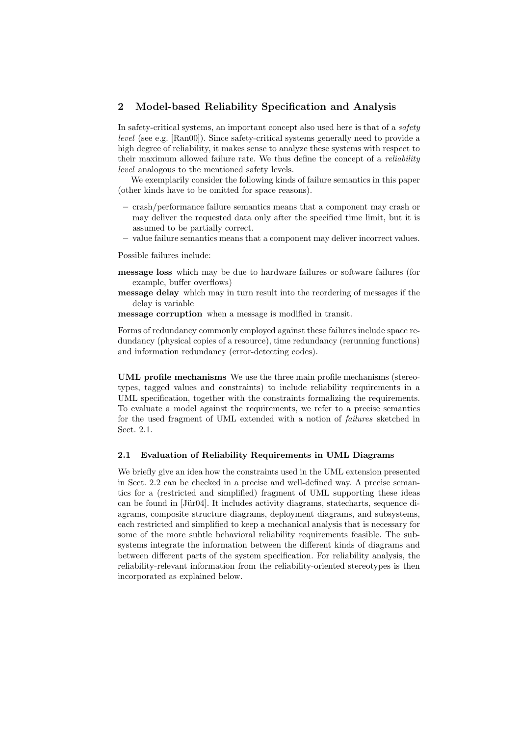### 2 Model-based Reliability Specification and Analysis

In safety-critical systems, an important concept also used here is that of a *safety* level (see e.g. [Ran00]). Since safety-critical systems generally need to provide a high degree of reliability, it makes sense to analyze these systems with respect to their maximum allowed failure rate. We thus define the concept of a reliability level analogous to the mentioned safety levels.

We exemplarily consider the following kinds of failure semantics in this paper (other kinds have to be omitted for space reasons).

- crash/performance failure semantics means that a component may crash or may deliver the requested data only after the specified time limit, but it is assumed to be partially correct.
- value failure semantics means that a component may deliver incorrect values.

Possible failures include:

- message loss which may be due to hardware failures or software failures (for example, buffer overflows)
- message delay which may in turn result into the reordering of messages if the delay is variable
- message corruption when a message is modified in transit.

Forms of redundancy commonly employed against these failures include space redundancy (physical copies of a resource), time redundancy (rerunning functions) and information redundancy (error-detecting codes).

UML profile mechanisms We use the three main profile mechanisms (stereotypes, tagged values and constraints) to include reliability requirements in a UML specification, together with the constraints formalizing the requirements. To evaluate a model against the requirements, we refer to a precise semantics for the used fragment of UML extended with a notion of failures sketched in Sect. 2.1.

#### 2.1 Evaluation of Reliability Requirements in UML Diagrams

We briefly give an idea how the constraints used in the UML extension presented in Sect. 2.2 can be checked in a precise and well-defined way. A precise semantics for a (restricted and simplified) fragment of UML supporting these ideas can be found in [Jür04]. It includes activity diagrams, statecharts, sequence diagrams, composite structure diagrams, deployment diagrams, and subsystems, each restricted and simplified to keep a mechanical analysis that is necessary for some of the more subtle behavioral reliability requirements feasible. The subsystems integrate the information between the different kinds of diagrams and between different parts of the system specification. For reliability analysis, the reliability-relevant information from the reliability-oriented stereotypes is then incorporated as explained below.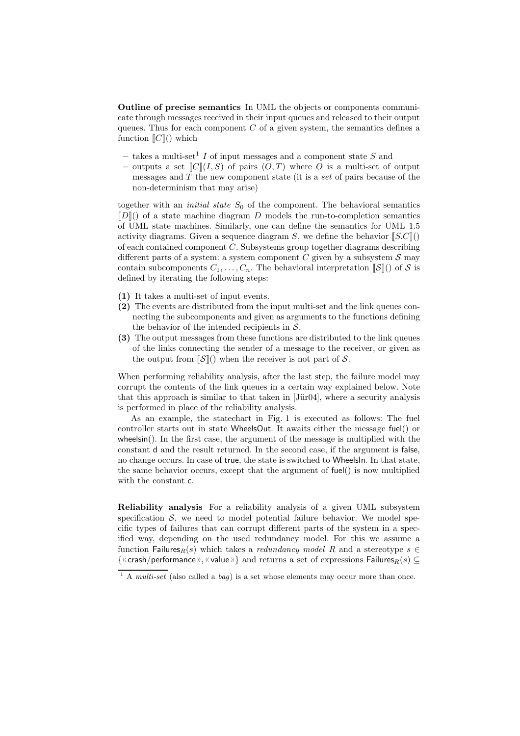Outline of precise semantics In UML the objects or components communicate through messages received in their input queues and released to their output queues. Thus for each component  $C$  of a given system, the semantics defines a function  $\llbracket C \rrbracket$ () which

- takes a multi-set<sup>1</sup>  $I$  of input messages and a component state  $S$  and
- outputs a set  $\llbracket C \rrbracket (I, S)$  of pairs  $(O, T)$  where O is a multi-set of output messages and  $T$  the new component state (it is a set of pairs because of the non-determinism that may arise)

together with an *initial state*  $S_0$  of the component. The behavioral semantics  $\llbracket D \rrbracket$ () of a state machine diagram D models the run-to-completion semantics of UML state machines. Similarly, one can define the semantics for UML 1.5 activity diagrams. Given a sequence diagram  $S$ , we define the behavior  $[[S.C]]()$ of each contained component C. Subsystems group together diagrams describing different parts of a system: a system component C given by a subsystem  $\mathcal S$  may contain subcomponents  $C_1, \ldots, C_n$ . The behavioral interpretation  $\llbracket \mathcal{S} \rrbracket$  of S is defined by iterating the following steps:

- (1) It takes a multi-set of input events.
- (2) The events are distributed from the input multi-set and the link queues connecting the subcomponents and given as arguments to the functions defining the behavior of the intended recipients in  $S$ .
- (3) The output messages from these functions are distributed to the link queues of the links connecting the sender of a message to the receiver, or given as the output from  $\lbrack \! \lbrack \mathcal{S} \rbrack \! \rbrack$  () when the receiver is not part of S.

When performing reliability analysis, after the last step, the failure model may corrupt the contents of the link queues in a certain way explained below. Note that this approach is similar to that taken in  $[J\ddot{u}r04]$ , where a security analysis is performed in place of the reliability analysis.

As an example, the statechart in Fig. 1 is executed as follows: The fuel controller starts out in state WheelsOut. It awaits either the message fuel() or wheelsin(). In the first case, the argument of the message is multiplied with the constant d and the result returned. In the second case, if the argument is false, no change occurs. In case of true, the state is switched to WheelsIn. In that state, the same behavior occurs, except that the argument of fuel() is now multiplied with the constant c.

Reliability analysis For a reliability analysis of a given UML subsystem specification  $\mathcal{S}$ , we need to model potential failure behavior. We model specific types of failures that can corrupt different parts of the system in a specified way, depending on the used redundancy model. For this we assume a function Failures<sub>R</sub>(s) which takes a *redundancy model R* and a stereotype  $s \in$  $\{\text{``crash/performance )}, \text{``value ''}\}$  and returns a set of expressions Failures $_R(s) \subseteq$ 

 $\overline{1}$  A multi-set (also called a bag) is a set whose elements may occur more than once.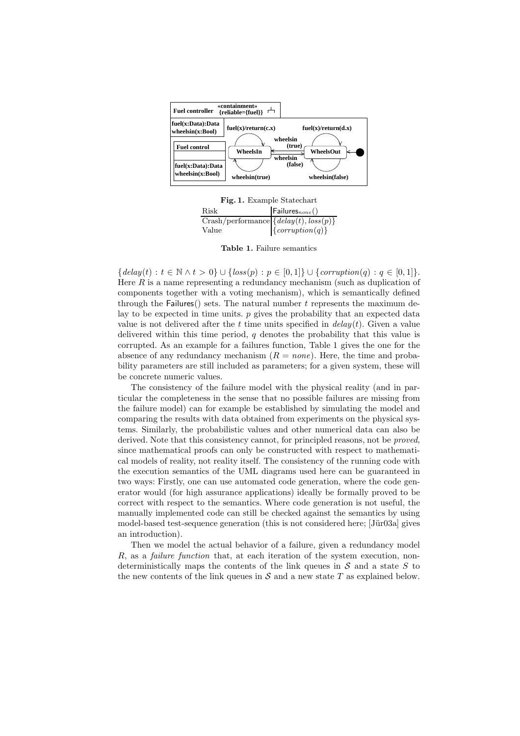

Fig. 1. Example Statechart  $Risk$  Failures $_{none}()$ Crash/performance  $\{delay(t), loss(p)\}$ Value  $\{corruption(q)\}$ 

Table 1. Failure semantics

 ${delay(t) : t \in \mathbb{N} \land t > 0} \cup {loss(p) : p \in [0,1]} \cup {corruption(q) : q \in [0,1]}$ . Here  $R$  is a name representing a redundancy mechanism (such as duplication of components together with a voting mechanism), which is semantically defined through the Failures() sets. The natural number  $t$  represents the maximum delay to be expected in time units.  $p$  gives the probability that an expected data value is not delivered after the t time units specified in  $delay(t)$ . Given a value delivered within this time period,  $q$  denotes the probability that this value is corrupted. As an example for a failures function, Table 1 gives the one for the absence of any redundancy mechanism  $(R = none)$ . Here, the time and probability parameters are still included as parameters; for a given system, these will be concrete numeric values.

The consistency of the failure model with the physical reality (and in particular the completeness in the sense that no possible failures are missing from the failure model) can for example be established by simulating the model and comparing the results with data obtained from experiments on the physical systems. Similarly, the probabilistic values and other numerical data can also be derived. Note that this consistency cannot, for principled reasons, not be *proved*, since mathematical proofs can only be constructed with respect to mathematical models of reality, not reality itself. The consistency of the running code with the execution semantics of the UML diagrams used here can be guaranteed in two ways: Firstly, one can use automated code generation, where the code generator would (for high assurance applications) ideally be formally proved to be correct with respect to the semantics. Where code generation is not useful, the manually implemented code can still be checked against the semantics by using model-based test-sequence generation (this is not considered here; [Jür03a] gives an introduction).

Then we model the actual behavior of a failure, given a redundancy model R, as a failure function that, at each iteration of the system execution, nondeterministically maps the contents of the link queues in  $S$  and a state  $S$  to the new contents of the link queues in  $S$  and a new state T as explained below.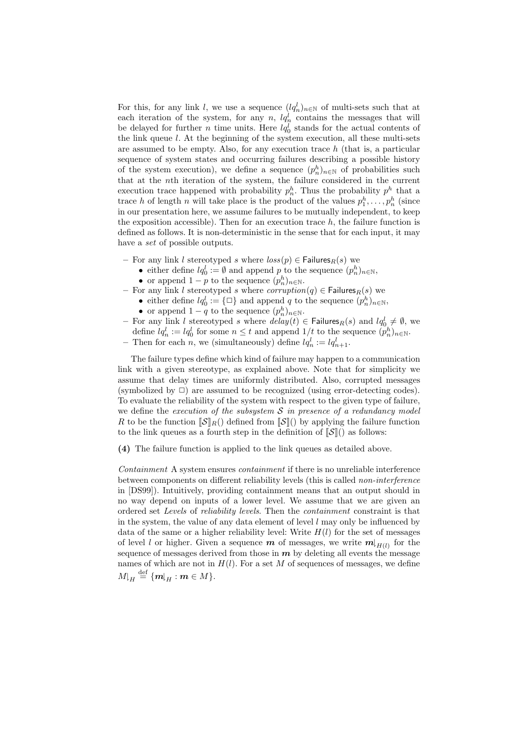For this, for any link l, we use a sequence  $(lq_n^l)_{n\in\mathbb{N}}$  of multi-sets such that at each iteration of the system, for any  $n, lq_n^l$  contains the messages that will be delayed for further *n* time units. Here  $lq_0^l$  stands for the actual contents of the link queue  $l$ . At the beginning of the system execution, all these multi-sets are assumed to be empty. Also, for any execution trace  $h$  (that is, a particular sequence of system states and occurring failures describing a possible history of the system execution), we define a sequence  $(p_n^h)_{n\in\mathbb{N}}$  of probabilities such that at the nth iteration of the system, the failure considered in the current execution trace happened with probability  $p_n^h$ . Thus the probability  $p^h$  that a trace h of length n will take place is the product of the values  $p_1^h, \ldots, p_n^h$  (since in our presentation here, we assume failures to be mutually independent, to keep the exposition accessible). Then for an execution trace  $h$ , the failure function is defined as follows. It is non-deterministic in the sense that for each input, it may have a *set* of possible outputs.

- For any link l stereotyped s where  $loss(p) \in \mathsf{Failures}_R(s)$  we
	- either define  $lq_0^l := \emptyset$  and append p to the sequence  $(p_n^h)_{n \in \mathbb{N}}$ ,
	- or append  $1-p$  to the sequence  $(p_n^h)_{n\in\mathbb{N}}$ .
- For any link l stereotyped s where  $corruption(q) \in \text{Failures}_{R}(s)$  we
	- either define  $lq_0^l := \{ \Box \}$  and append q to the sequence  $(p_n^h)_{n \in \mathbb{N}}$ ,
	- or append  $1-q$  to the sequence  $(p_n^h)_{n\in\mathbb{N}}$ .
- For any link l stereotyped s where  $delay(t) \in \mathsf{Failures}_R(s)$  and  $lq_0^l \neq \emptyset$ , we define  $lq_n^l := lq_0^l$  for some  $n \leq t$  and append  $1/t$  to the sequence  $(p_n^h)_{n \in \mathbb{N}}$ .
- Then for each *n*, we (simultaneously) define  $lq_n^l := lq_{n+1}^l$ .

The failure types define which kind of failure may happen to a communication link with a given stereotype, as explained above. Note that for simplicity we assume that delay times are uniformly distributed. Also, corrupted messages (symbolized by  $\Box$ ) are assumed to be recognized (using error-detecting codes). To evaluate the reliability of the system with respect to the given type of failure, we define the execution of the subsystem  $S$  in presence of a redundancy model R to be the function  $\llbracket \mathcal{S} \rrbracket_R$  defined from  $\llbracket \mathcal{S} \rrbracket$  by applying the failure function to the link queues as a fourth step in the definition of  $\mathcal{S}(\mathcal{S})$  as follows:

(4) The failure function is applied to the link queues as detailed above.

Containment A system ensures containment if there is no unreliable interference between components on different reliability levels (this is called non-interference in [DS99]). Intuitively, providing containment means that an output should in no way depend on inputs of a lower level. We assume that we are given an ordered set Levels of reliability levels. Then the containment constraint is that in the system, the value of any data element of level  $l$  may only be influenced by data of the same or a higher reliability level: Write  $H(l)$  for the set of messages of level l or higher. Given a sequence  $m$  of messages, we write  $m|_{H(l)}$  for the sequence of messages derived from those in  $m$  by deleting all events the message names of which are not in  $H(l)$ . For a set M of sequences of messages, we define  $\left. M \right|_H \stackrel{{\mathrm {\footnotesize def}}}{=} \{m \!\!\! \downarrow_H : m \in M \}.$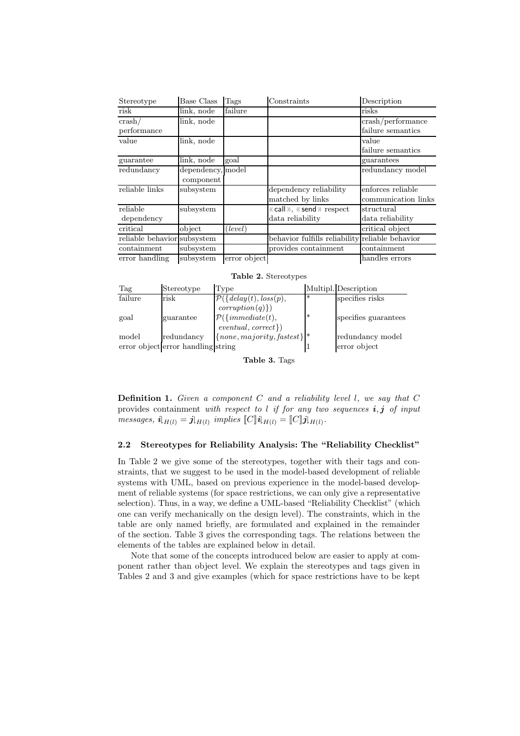| Stereotype                  | <b>Base Class</b> | Tags         | Constraints                                     | Description         |
|-----------------------------|-------------------|--------------|-------------------------------------------------|---------------------|
| risk                        | link, node        | failure      |                                                 | risks               |
| crash/                      | link, node        |              |                                                 | crash/performance   |
| performance                 |                   |              |                                                 | failure semantics   |
| value                       | link, node        |              |                                                 | value               |
|                             |                   |              |                                                 | failure semantics   |
| guarantee                   | link, node        | goal         |                                                 | guarantees          |
| redundancy                  | dependency, model |              |                                                 | redundancy model    |
|                             | component         |              |                                                 |                     |
| reliable links              | subsystem         |              | dependency reliability                          | enforces reliable   |
|                             |                   |              | matched by links                                | communication links |
| reliable                    | subsystem         |              | « call », « send » respect                      | structural          |
| dependency                  |                   |              | data reliability                                | data reliability    |
| critical                    | object            | $-level)$    |                                                 | critical object     |
| reliable behavior subsystem |                   |              | behavior fulfills reliability reliable behavior |                     |
| containment                 | subsystem         |              | provides containment                            | containment         |
| error handling              | subsystem         | error object |                                                 | handles errors      |

Table 2. Stereotypes

| Tag     | Stereotype                         | Type                                                           |        | Multipl. Description |
|---------|------------------------------------|----------------------------------------------------------------|--------|----------------------|
| failure | risk                               | $\mathcal{P}(\lbrace delay(t), loss(p),$                       | $\ast$ | specifies risks      |
| goal    | guarantee                          | $corruption(q)$ }<br>$P({immediate(t)},$<br>eventual, correct) | $\ast$ | specifies guarantees |
| model   | redundancy                         | ${[none,majority, fastest]}$ *                                 |        | redundancy model     |
|         | error object error handling string |                                                                |        | error object         |

Table 3. Tags

**Definition 1.** Given a component  $C$  and a reliability level  $l$ , we say that  $C$ provides containment with respect to l if for any two sequences  $i, j$  of input  $\text{messages}, \ \mathbf{i}|_{H(l)} = \mathbf{j}|_{H(l)} \ \text{implies} \ \llbracket C \rrbracket \mathbf{i}|_{H(l)} = \llbracket C \rrbracket \mathbf{j}|_{H(l)}.$ 

#### 2.2 Stereotypes for Reliability Analysis: The "Reliability Checklist"

In Table 2 we give some of the stereotypes, together with their tags and constraints, that we suggest to be used in the model-based development of reliable systems with UML, based on previous experience in the model-based development of reliable systems (for space restrictions, we can only give a representative selection). Thus, in a way, we define a UML-based "Reliability Checklist" (which one can verify mechanically on the design level). The constraints, which in the table are only named briefly, are formulated and explained in the remainder of the section. Table 3 gives the corresponding tags. The relations between the elements of the tables are explained below in detail.

Note that some of the concepts introduced below are easier to apply at component rather than object level. We explain the stereotypes and tags given in Tables 2 and 3 and give examples (which for space restrictions have to be kept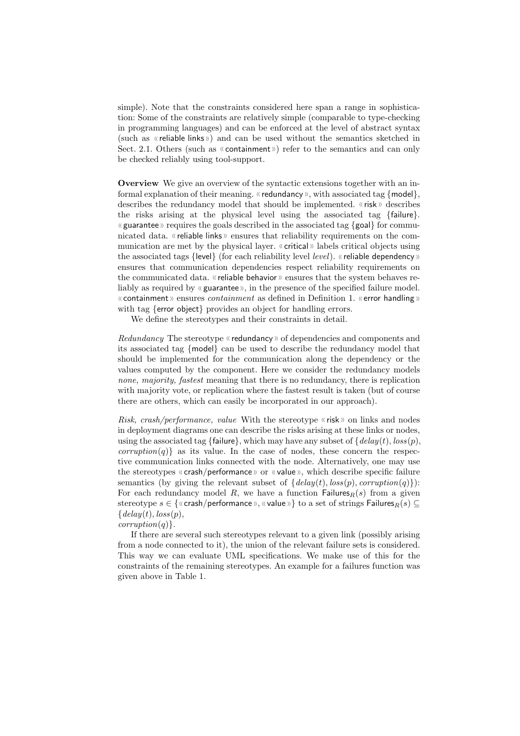simple). Note that the constraints considered here span a range in sophistication: Some of the constraints are relatively simple (comparable to type-checking in programming languages) and can be enforced at the level of abstract syntax (such as «reliable links ») and can be used without the semantics sketched in Sect. 2.1. Others (such as  $\langle$  containment  $\rangle$ ) refer to the semantics and can only be checked reliably using tool-support.

Overview We give an overview of the syntactic extensions together with an informal explanation of their meaning. «redundancy », with associated tag {model}, describes the redundancy model that should be implemented. « $risk$ » describes the risks arising at the physical level using the associated tag {failure}. « guarantee » requires the goals described in the associated tag {goal} for communicated data. «reliable links » ensures that reliability requirements on the communication are met by the physical layer.  $\kappa$  critical  $\kappa$  labels critical objects using the associated tags {level} (for each reliability level *level*). « reliable dependency » ensures that communication dependencies respect reliability requirements on the communicated data.  $\mathcal{N}$  reliable behavior  $\mathcal{N}$  ensures that the system behaves reliably as required by  $\kappa$  guarantee  $\kappa$ , in the presence of the specified failure model. « containment » ensures *containment* as defined in Definition 1. « error handling » with tag {error object} provides an object for handling errors.

We define the stereotypes and their constraints in detail.

 $Redundancy$  The stereotype «redundancy » of dependencies and components and its associated tag {model} can be used to describe the redundancy model that should be implemented for the communication along the dependency or the values computed by the component. Here we consider the redundancy models none, majority, fastest meaning that there is no redundancy, there is replication with majority vote, or replication where the fastest result is taken (but of course there are others, which can easily be incorporated in our approach).

Risk, crash/performance, value With the stereotype  $\langle$  risk  $\rangle$  on links and nodes in deployment diagrams one can describe the risks arising at these links or nodes, using the associated tag {failure}, which may have any subset of  $\{delay(t), loss(p),\}$  $corruption(q)$ } as its value. In the case of nodes, these concern the respective communication links connected with the node. Alternatively, one may use the stereotypes « crash/performance » or « value », which describe specific failure semantics (by giving the relevant subset of  $\{delay(t), loss(p), corruption(q)\}$ ): For each redundancy model R, we have a function Failures $R(s)$  from a given stereotype  $s \in \{$  « crash/performance », « value »} to a set of strings Failures $_R(s) \subseteq$  $\{delay(t), loss(p),\}$  $corruption(q)$ .

If there are several such stereotypes relevant to a given link (possibly arising from a node connected to it), the union of the relevant failure sets is considered. This way we can evaluate UML specifications. We make use of this for the constraints of the remaining stereotypes. An example for a failures function was given above in Table 1.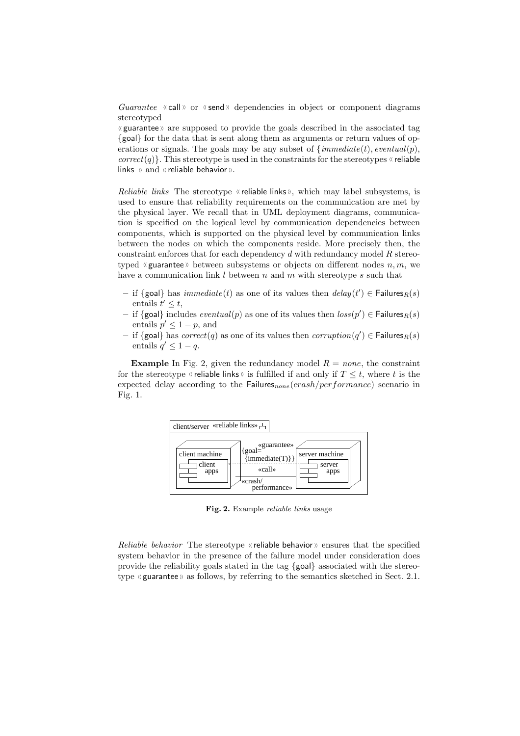Guarantee  $\&$  call  $\&$  or  $\&$  send  $\&$  dependencies in object or component diagrams stereotyped

 $\mathcal{C}$  guarantee » are supposed to provide the goals described in the associated tag {goal} for the data that is sent along them as arguments or return values of operations or signals. The goals may be any subset of  $\{immediate(t), eventual(p),\}$  $correct(q)$ . This stereotype is used in the constraints for the stereotypes « reliable links  $\mathcal{V}$  and « reliable behavior  $\mathcal{V}$ .

*Reliable links* The stereotype «reliable links», which may label subsystems, is used to ensure that reliability requirements on the communication are met by the physical layer. We recall that in UML deployment diagrams, communication is specified on the logical level by communication dependencies between components, which is supported on the physical level by communication links between the nodes on which the components reside. More precisely then, the constraint enforces that for each dependency  $d$  with redundancy model  $R$  stereotyped «guarantee» between subsystems or objects on different nodes  $n, m$ , we have a communication link  $l$  between n and m with stereotype s such that

- − if {goal} has *immediate*(*t*) as one of its values then  $delay(t') \in Failure_R(s)$ entails  $t' \leq t$ ,
- − if {goal} includes  $eventual(p)$  as one of its values then  $loss(p') \in \mathsf{Failures}_{R}(s)$ entails  $p' \leq 1 - p$ , and
- − if {goal} has  $correct(q)$  as one of its values then  $corruption(q') \in Failure_R(s)$ entails  $q' \leq 1 - q$ .

**Example** In Fig. 2, given the redundancy model  $R = none$ , the constraint for the stereotype « reliable links » is fulfilled if and only if  $T \leq t$ , where t is the expected delay according to the Failures $_{none}(crash/performance)$  scenario in Fig. 1.



Fig. 2. Example reliable links usage

Reliable behavior The stereotype « reliable behavior » ensures that the specified system behavior in the presence of the failure model under consideration does provide the reliability goals stated in the tag {goal} associated with the stereotype « guarantee » as follows, by referring to the semantics sketched in Sect. 2.1.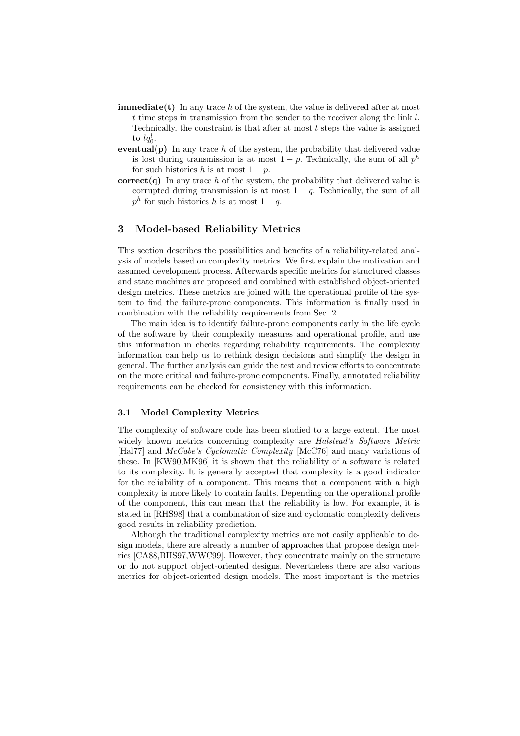- **immediate(t)** In any trace h of the system, the value is delivered after at most t time steps in transmission from the sender to the receiver along the link l. Technically, the constraint is that after at most  $t$  steps the value is assigned to  $lq_0^l$ .
- eventual(p) In any trace h of the system, the probability that delivered value is lost during transmission is at most  $1 - p$ . Technically, the sum of all  $p^h$ for such histories h is at most  $1 - p$ .
- $correct(q)$  In any trace h of the system, the probability that delivered value is corrupted during transmission is at most  $1 - q$ . Technically, the sum of all  $p<sup>h</sup>$  for such histories h is at most  $1 - q$ .

### 3 Model-based Reliability Metrics

This section describes the possibilities and benefits of a reliability-related analysis of models based on complexity metrics. We first explain the motivation and assumed development process. Afterwards specific metrics for structured classes and state machines are proposed and combined with established object-oriented design metrics. These metrics are joined with the operational profile of the system to find the failure-prone components. This information is finally used in combination with the reliability requirements from Sec. 2.

The main idea is to identify failure-prone components early in the life cycle of the software by their complexity measures and operational profile, and use this information in checks regarding reliability requirements. The complexity information can help us to rethink design decisions and simplify the design in general. The further analysis can guide the test and review efforts to concentrate on the more critical and failure-prone components. Finally, annotated reliability requirements can be checked for consistency with this information.

#### 3.1 Model Complexity Metrics

The complexity of software code has been studied to a large extent. The most widely known metrics concerning complexity are Halstead's Software Metric [Hal77] and *McCabe's Cyclomatic Complexity* [McC76] and many variations of these. In [KW90,MK96] it is shown that the reliability of a software is related to its complexity. It is generally accepted that complexity is a good indicator for the reliability of a component. This means that a component with a high complexity is more likely to contain faults. Depending on the operational profile of the component, this can mean that the reliability is low. For example, it is stated in [RHS98] that a combination of size and cyclomatic complexity delivers good results in reliability prediction.

Although the traditional complexity metrics are not easily applicable to design models, there are already a number of approaches that propose design metrics [CA88,BHS97,WWC99]. However, they concentrate mainly on the structure or do not support object-oriented designs. Nevertheless there are also various metrics for object-oriented design models. The most important is the metrics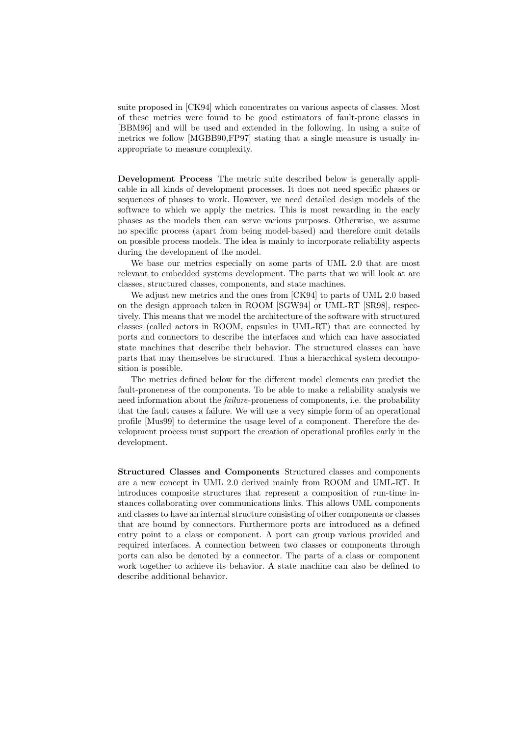suite proposed in [CK94] which concentrates on various aspects of classes. Most of these metrics were found to be good estimators of fault-prone classes in [BBM96] and will be used and extended in the following. In using a suite of metrics we follow [MGBB90,FP97] stating that a single measure is usually inappropriate to measure complexity.

Development Process The metric suite described below is generally applicable in all kinds of development processes. It does not need specific phases or sequences of phases to work. However, we need detailed design models of the software to which we apply the metrics. This is most rewarding in the early phases as the models then can serve various purposes. Otherwise, we assume no specific process (apart from being model-based) and therefore omit details on possible process models. The idea is mainly to incorporate reliability aspects during the development of the model.

We base our metrics especially on some parts of UML 2.0 that are most relevant to embedded systems development. The parts that we will look at are classes, structured classes, components, and state machines.

We adjust new metrics and the ones from [CK94] to parts of UML 2.0 based on the design approach taken in ROOM [SGW94] or UML-RT [SR98], respectively. This means that we model the architecture of the software with structured classes (called actors in ROOM, capsules in UML-RT) that are connected by ports and connectors to describe the interfaces and which can have associated state machines that describe their behavior. The structured classes can have parts that may themselves be structured. Thus a hierarchical system decomposition is possible.

The metrics defined below for the different model elements can predict the fault-proneness of the components. To be able to make a reliability analysis we need information about the failure-proneness of components, i.e. the probability that the fault causes a failure. We will use a very simple form of an operational profile [Mus99] to determine the usage level of a component. Therefore the development process must support the creation of operational profiles early in the development.

Structured Classes and Components Structured classes and components are a new concept in UML 2.0 derived mainly from ROOM and UML-RT. It introduces composite structures that represent a composition of run-time instances collaborating over communications links. This allows UML components and classes to have an internal structure consisting of other components or classes that are bound by connectors. Furthermore ports are introduced as a defined entry point to a class or component. A port can group various provided and required interfaces. A connection between two classes or components through ports can also be denoted by a connector. The parts of a class or component work together to achieve its behavior. A state machine can also be defined to describe additional behavior.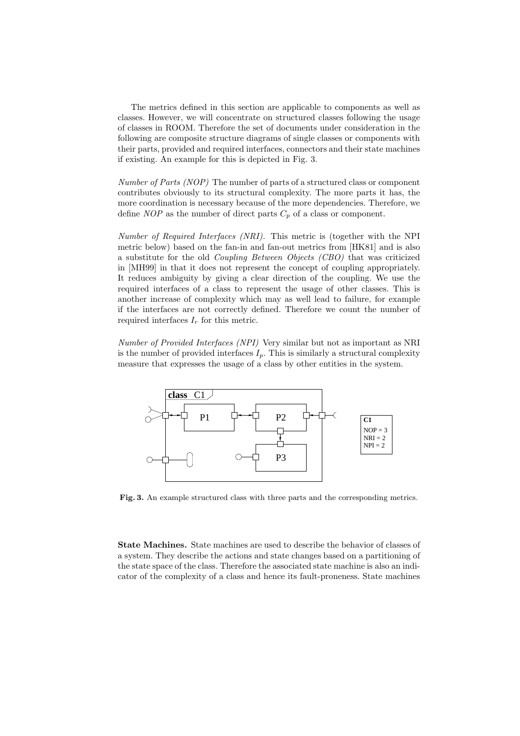The metrics defined in this section are applicable to components as well as classes. However, we will concentrate on structured classes following the usage of classes in ROOM. Therefore the set of documents under consideration in the following are composite structure diagrams of single classes or components with their parts, provided and required interfaces, connectors and their state machines if existing. An example for this is depicted in Fig. 3.

Number of Parts (NOP) The number of parts of a structured class or component contributes obviously to its structural complexity. The more parts it has, the more coordination is necessary because of the more dependencies. Therefore, we define  $NOP$  as the number of direct parts  $C_p$  of a class or component.

Number of Required Interfaces (NRI). This metric is (together with the NPI metric below) based on the fan-in and fan-out metrics from [HK81] and is also a substitute for the old Coupling Between Objects (CBO) that was criticized in [MH99] in that it does not represent the concept of coupling appropriately. It reduces ambiguity by giving a clear direction of the coupling. We use the required interfaces of a class to represent the usage of other classes. This is another increase of complexity which may as well lead to failure, for example if the interfaces are not correctly defined. Therefore we count the number of required interfaces  $I_r$  for this metric.

Number of Provided Interfaces (NPI) Very similar but not as important as NRI is the number of provided interfaces  $I_p$ . This is similarly a structural complexity measure that expresses the usage of a class by other entities in the system.



Fig. 3. An example structured class with three parts and the corresponding metrics.

State Machines. State machines are used to describe the behavior of classes of a system. They describe the actions and state changes based on a partitioning of the state space of the class. Therefore the associated state machine is also an indicator of the complexity of a class and hence its fault-proneness. State machines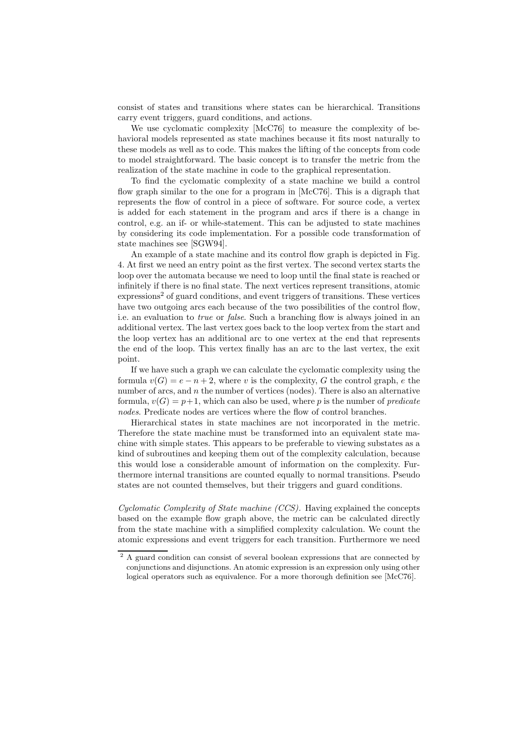consist of states and transitions where states can be hierarchical. Transitions carry event triggers, guard conditions, and actions.

We use cyclomatic complexity [McC76] to measure the complexity of behavioral models represented as state machines because it fits most naturally to these models as well as to code. This makes the lifting of the concepts from code to model straightforward. The basic concept is to transfer the metric from the realization of the state machine in code to the graphical representation.

To find the cyclomatic complexity of a state machine we build a control flow graph similar to the one for a program in [McC76]. This is a digraph that represents the flow of control in a piece of software. For source code, a vertex is added for each statement in the program and arcs if there is a change in control, e.g. an if- or while-statement. This can be adjusted to state machines by considering its code implementation. For a possible code transformation of state machines see [SGW94].

An example of a state machine and its control flow graph is depicted in Fig. 4. At first we need an entry point as the first vertex. The second vertex starts the loop over the automata because we need to loop until the final state is reached or infinitely if there is no final state. The next vertices represent transitions, atomic expressions<sup>2</sup> of guard conditions, and event triggers of transitions. These vertices have two outgoing arcs each because of the two possibilities of the control flow, i.e. an evaluation to true or false. Such a branching flow is always joined in an additional vertex. The last vertex goes back to the loop vertex from the start and the loop vertex has an additional arc to one vertex at the end that represents the end of the loop. This vertex finally has an arc to the last vertex, the exit point.

If we have such a graph we can calculate the cyclomatic complexity using the formula  $v(G) = e - n + 2$ , where v is the complexity, G the control graph, e the number of arcs, and  $n$  the number of vertices (nodes). There is also an alternative formula,  $v(G) = p+1$ , which can also be used, where p is the number of predicate nodes. Predicate nodes are vertices where the flow of control branches.

Hierarchical states in state machines are not incorporated in the metric. Therefore the state machine must be transformed into an equivalent state machine with simple states. This appears to be preferable to viewing substates as a kind of subroutines and keeping them out of the complexity calculation, because this would lose a considerable amount of information on the complexity. Furthermore internal transitions are counted equally to normal transitions. Pseudo states are not counted themselves, but their triggers and guard conditions.

Cyclomatic Complexity of State machine (CCS). Having explained the concepts based on the example flow graph above, the metric can be calculated directly from the state machine with a simplified complexity calculation. We count the atomic expressions and event triggers for each transition. Furthermore we need

<sup>&</sup>lt;sup>2</sup> A guard condition can consist of several boolean expressions that are connected by conjunctions and disjunctions. An atomic expression is an expression only using other logical operators such as equivalence. For a more thorough definition see [McC76].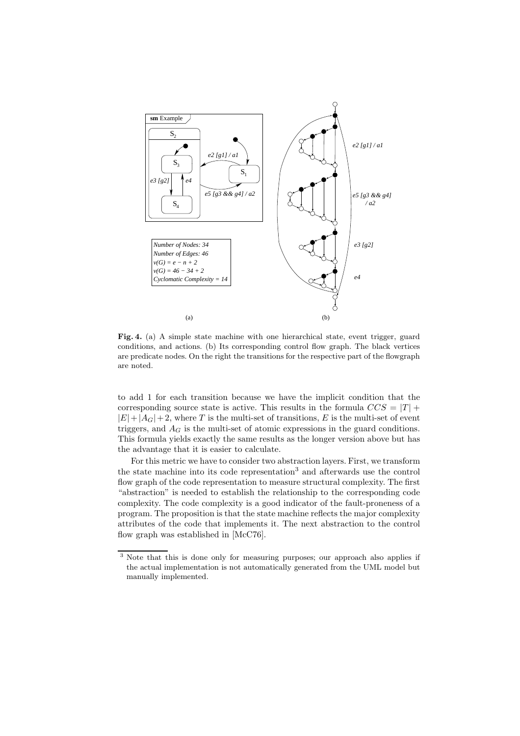

Fig. 4. (a) A simple state machine with one hierarchical state, event trigger, guard conditions, and actions. (b) Its corresponding control flow graph. The black vertices are predicate nodes. On the right the transitions for the respective part of the flowgraph are noted.

to add 1 for each transition because we have the implicit condition that the corresponding source state is active. This results in the formula  $CCS = |T|$  +  $|E|+|A_G|+2$ , where T is the multi-set of transitions, E is the multi-set of event triggers, and  $A_G$  is the multi-set of atomic expressions in the guard conditions. This formula yields exactly the same results as the longer version above but has the advantage that it is easier to calculate.

For this metric we have to consider two abstraction layers. First, we transform the state machine into its code representation<sup>3</sup> and afterwards use the control flow graph of the code representation to measure structural complexity. The first "abstraction" is needed to establish the relationship to the corresponding code complexity. The code complexity is a good indicator of the fault-proneness of a program. The proposition is that the state machine reflects the major complexity attributes of the code that implements it. The next abstraction to the control flow graph was established in [McC76].

<sup>&</sup>lt;sup>3</sup> Note that this is done only for measuring purposes; our approach also applies if the actual implementation is not automatically generated from the UML model but manually implemented.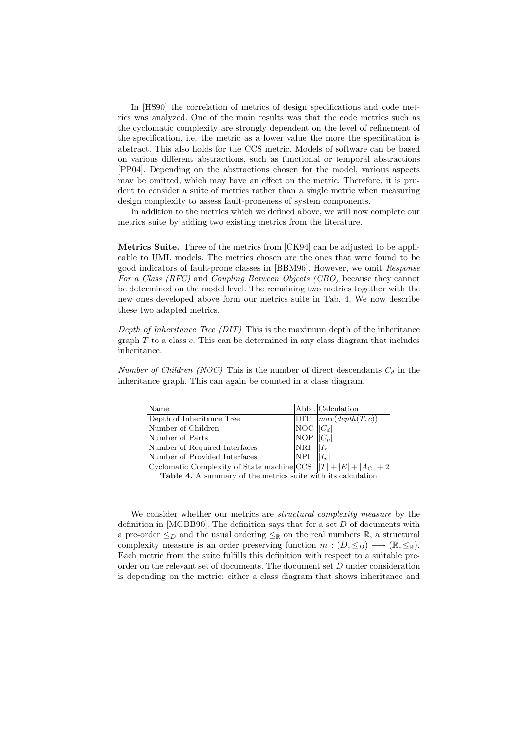In [HS90] the correlation of metrics of design specifications and code metrics was analyzed. One of the main results was that the code metrics such as the cyclomatic complexity are strongly dependent on the level of refinement of the specification, i.e. the metric as a lower value the more the specification is abstract. This also holds for the CCS metric. Models of software can be based on various different abstractions, such as functional or temporal abstractions [PP04]. Depending on the abstractions chosen for the model, various aspects may be omitted, which may have an effect on the metric. Therefore, it is prudent to consider a suite of metrics rather than a single metric when measuring design complexity to assess fault-proneness of system components.

In addition to the metrics which we defined above, we will now complete our metrics suite by adding two existing metrics from the literature.

Metrics Suite. Three of the metrics from [CK94] can be adjusted to be applicable to UML models. The metrics chosen are the ones that were found to be good indicators of fault-prone classes in [BBM96]. However, we omit Response For a Class (RFC) and Coupling Between Objects (CBO) because they cannot be determined on the model level. The remaining two metrics together with the new ones developed above form our metrics suite in Tab. 4. We now describe these two adapted metrics.

Depth of Inheritance Tree (DIT) This is the maximum depth of the inheritance graph  $T$  to a class  $c$ . This can be determined in any class diagram that includes inheritance.

Number of Children (NOC) This is the number of direct descendants  $C_d$  in the inheritance graph. This can again be counted in a class diagram.

| Name                                                                |                 | Abbr. Calculation      |
|---------------------------------------------------------------------|-----------------|------------------------|
| Depth of Inheritance Tree                                           |                 | DIT $max(depth(T, c))$ |
| Number of Children                                                  | NOC $ C_d $     |                        |
| Number of Parts                                                     | NOP $ C_p $     |                        |
| Number of Required Interfaces                                       | $NRI$   $ I_r $ |                        |
| Number of Provided Interfaces                                       | $NPI$ $ I_p $   |                        |
| Cyclomatic Complexity of State machine CCS $  T  +  E  +  A_G  + 2$ |                 |                        |
| Table 4. A summary of the metrics suite with its calculation        |                 |                        |

We consider whether our metrics are *structural complexity measure* by the definition in [MGBB90]. The definition says that for a set  $D$  of documents with a pre-order  $\leq_D$  and the usual ordering  $\leq_R$  on the real numbers R, a structural complexity measure is an order preserving function  $m : (D, \leq_D) \longrightarrow (\mathbb{R}, \leq_{\mathbb{R}})$ . Each metric from the suite fulfills this definition with respect to a suitable preorder on the relevant set of documents. The document set D under consideration is depending on the metric: either a class diagram that shows inheritance and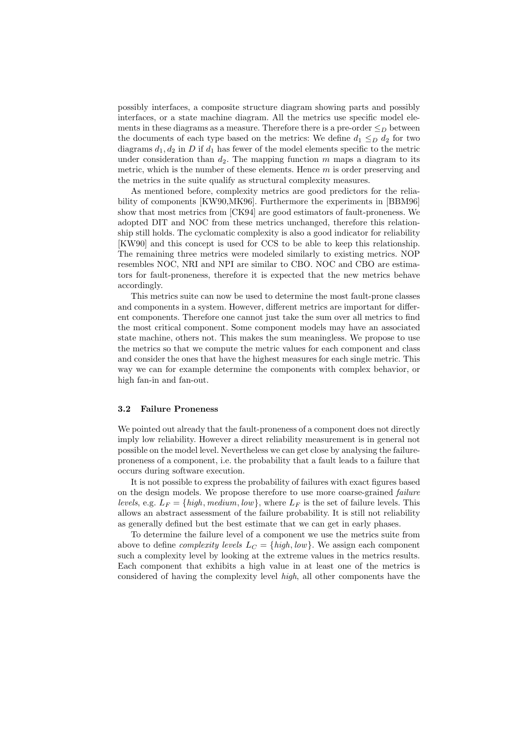possibly interfaces, a composite structure diagram showing parts and possibly interfaces, or a state machine diagram. All the metrics use specific model elements in these diagrams as a measure. Therefore there is a pre-order  $\leq_D$  between the documents of each type based on the metrics: We define  $d_1 \leq_D d_2$  for two diagrams  $d_1, d_2$  in D if  $d_1$  has fewer of the model elements specific to the metric under consideration than  $d_2$ . The mapping function m maps a diagram to its metric, which is the number of these elements. Hence  $m$  is order preserving and the metrics in the suite qualify as structural complexity measures.

As mentioned before, complexity metrics are good predictors for the reliability of components [KW90,MK96]. Furthermore the experiments in [BBM96] show that most metrics from [CK94] are good estimators of fault-proneness. We adopted DIT and NOC from these metrics unchanged, therefore this relationship still holds. The cyclomatic complexity is also a good indicator for reliability [KW90] and this concept is used for CCS to be able to keep this relationship. The remaining three metrics were modeled similarly to existing metrics. NOP resembles NOC, NRI and NPI are similar to CBO. NOC and CBO are estimators for fault-proneness, therefore it is expected that the new metrics behave accordingly.

This metrics suite can now be used to determine the most fault-prone classes and components in a system. However, different metrics are important for different components. Therefore one cannot just take the sum over all metrics to find the most critical component. Some component models may have an associated state machine, others not. This makes the sum meaningless. We propose to use the metrics so that we compute the metric values for each component and class and consider the ones that have the highest measures for each single metric. This way we can for example determine the components with complex behavior, or high fan-in and fan-out.

#### 3.2 Failure Proneness

We pointed out already that the fault-proneness of a component does not directly imply low reliability. However a direct reliability measurement is in general not possible on the model level. Nevertheless we can get close by analysing the failureproneness of a component, i.e. the probability that a fault leads to a failure that occurs during software execution.

It is not possible to express the probability of failures with exact figures based on the design models. We propose therefore to use more coarse-grained failure levels, e.g.  $L_F = \{high, medium, low\}$ , where  $L_F$  is the set of failure levels. This allows an abstract assessment of the failure probability. It is still not reliability as generally defined but the best estimate that we can get in early phases.

To determine the failure level of a component we use the metrics suite from above to define *complexity levels*  $L_C = \{high, low\}$ . We assign each component such a complexity level by looking at the extreme values in the metrics results. Each component that exhibits a high value in at least one of the metrics is considered of having the complexity level high, all other components have the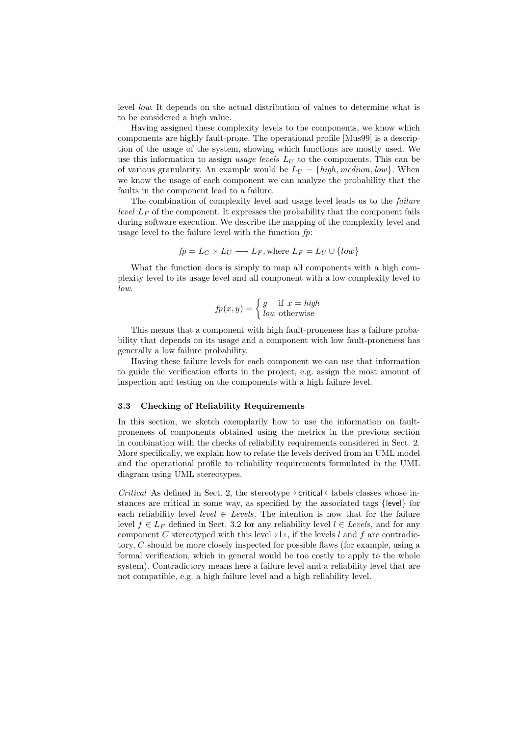level low. It depends on the actual distribution of values to determine what is to be considered a high value.

Having assigned these complexity levels to the components, we know which components are highly fault-prone. The operational profile [Mus99] is a description of the usage of the system, showing which functions are mostly used. We use this information to assign usage levels  $L_U$  to the components. This can be of various granularity. An example would be  $L_U = \{high, medium, low\}$ . When we know the usage of each component we can analyze the probability that the faults in the component lead to a failure.

The combination of complexity level and usage level leads us to the *failure level*  $L_F$  of the component. It expresses the probability that the component fails during software execution. We describe the mapping of the complexity level and usage level to the failure level with the function  $fp$ :

$$
fp = L_C \times L_U \longrightarrow L_F
$$
, where  $L_F = L_U \cup \{low\}$ 

What the function does is simply to map all components with a high complexity level to its usage level and all component with a low complexity level to low.

$$
fp(x, y) = \begin{cases} y & \text{if } x = high \\ low \text{ otherwise} \end{cases}
$$

This means that a component with high fault-proneness has a failure probability that depends on its usage and a component with low fault-proneness has generally a low failure probability.

Having these failure levels for each component we can use that information to guide the verification efforts in the project, e.g. assign the most amount of inspection and testing on the components with a high failure level.

#### 3.3 Checking of Reliability Requirements

In this section, we sketch exemplarily how to use the information on faultproneness of components obtained using the metrics in the previous section in combination with the checks of reliability requirements considered in Sect. 2. More specifically, we explain how to relate the levels derived from an UML model and the operational profile to reliability requirements formulated in the UML diagram using UML stereotypes.

Critical As defined in Sect. 2, the stereotype «critical » labels classes whose instances are critical in some way, as specified by the associated tags {level} for each reliability level level  $\in$  Levels. The intention is now that for the failure level  $f \in L_F$  defined in Sect. 3.2 for any reliability level  $l \in Levels$ , and for any component C stereotyped with this level  $\langle \cdot | \cdot \rangle$ , if the levels l and f are contradictory, C should be more closely inspected for possible flaws (for example, using a formal verification, which in general would be too costly to apply to the whole system). Contradictory means here a failure level and a reliability level that are not compatible, e.g. a high failure level and a high reliability level.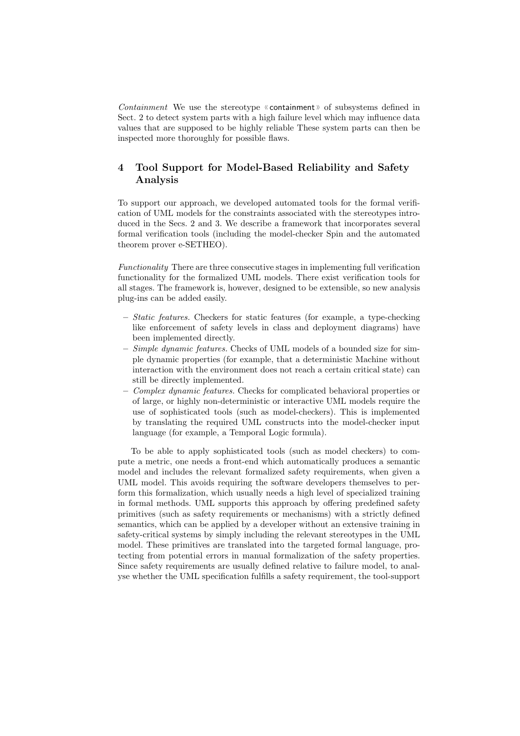*Containment* We use the stereotype  $\&$  containment  $\&$  of subsystems defined in Sect. 2 to detect system parts with a high failure level which may influence data values that are supposed to be highly reliable These system parts can then be inspected more thoroughly for possible flaws.

# 4 Tool Support for Model-Based Reliability and Safety Analysis

To support our approach, we developed automated tools for the formal verification of UML models for the constraints associated with the stereotypes introduced in the Secs. 2 and 3. We describe a framework that incorporates several formal verification tools (including the model-checker Spin and the automated theorem prover e-SETHEO).

Functionality There are three consecutive stages in implementing full verification functionality for the formalized UML models. There exist verification tools for all stages. The framework is, however, designed to be extensible, so new analysis plug-ins can be added easily.

- Static features. Checkers for static features (for example, a type-checking like enforcement of safety levels in class and deployment diagrams) have been implemented directly.
- Simple dynamic features. Checks of UML models of a bounded size for simple dynamic properties (for example, that a deterministic Machine without interaction with the environment does not reach a certain critical state) can still be directly implemented.
- Complex dynamic features. Checks for complicated behavioral properties or of large, or highly non-deterministic or interactive UML models require the use of sophisticated tools (such as model-checkers). This is implemented by translating the required UML constructs into the model-checker input language (for example, a Temporal Logic formula).

To be able to apply sophisticated tools (such as model checkers) to compute a metric, one needs a front-end which automatically produces a semantic model and includes the relevant formalized safety requirements, when given a UML model. This avoids requiring the software developers themselves to perform this formalization, which usually needs a high level of specialized training in formal methods. UML supports this approach by offering predefined safety primitives (such as safety requirements or mechanisms) with a strictly defined semantics, which can be applied by a developer without an extensive training in safety-critical systems by simply including the relevant stereotypes in the UML model. These primitives are translated into the targeted formal language, protecting from potential errors in manual formalization of the safety properties. Since safety requirements are usually defined relative to failure model, to analyse whether the UML specification fulfills a safety requirement, the tool-support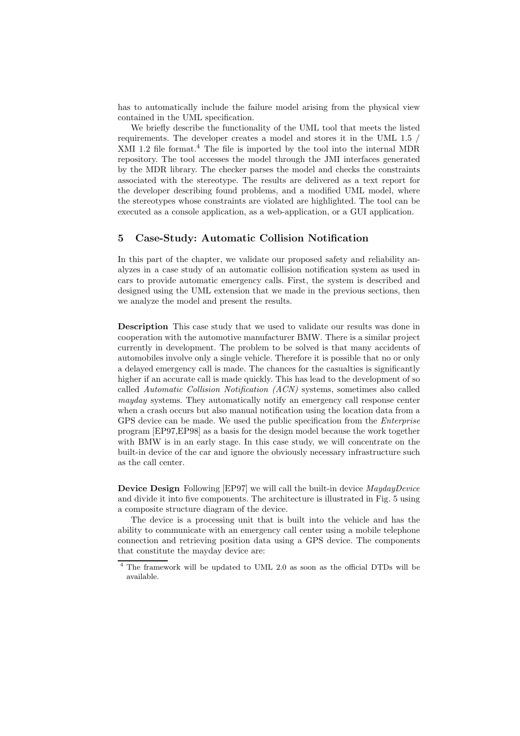has to automatically include the failure model arising from the physical view contained in the UML specification.

We briefly describe the functionality of the UML tool that meets the listed requirements. The developer creates a model and stores it in the UML 1.5 / XMI 1.2 file format.<sup>4</sup> The file is imported by the tool into the internal MDR repository. The tool accesses the model through the JMI interfaces generated by the MDR library. The checker parses the model and checks the constraints associated with the stereotype. The results are delivered as a text report for the developer describing found problems, and a modified UML model, where the stereotypes whose constraints are violated are highlighted. The tool can be executed as a console application, as a web-application, or a GUI application.

#### 5 Case-Study: Automatic Collision Notification

In this part of the chapter, we validate our proposed safety and reliability analyzes in a case study of an automatic collision notification system as used in cars to provide automatic emergency calls. First, the system is described and designed using the UML extension that we made in the previous sections, then we analyze the model and present the results.

Description This case study that we used to validate our results was done in cooperation with the automotive manufacturer BMW. There is a similar project currently in development. The problem to be solved is that many accidents of automobiles involve only a single vehicle. Therefore it is possible that no or only a delayed emergency call is made. The chances for the casualties is significantly higher if an accurate call is made quickly. This has lead to the development of so called Automatic Collision Notification (ACN) systems, sometimes also called mayday systems. They automatically notify an emergency call response center when a crash occurs but also manual notification using the location data from a GPS device can be made. We used the public specification from the *Enterprise* program [EP97,EP98] as a basis for the design model because the work together with BMW is in an early stage. In this case study, we will concentrate on the built-in device of the car and ignore the obviously necessary infrastructure such as the call center.

Device Design Following [EP97] we will call the built-in device  $MaydayDevice$ and divide it into five components. The architecture is illustrated in Fig. 5 using a composite structure diagram of the device.

The device is a processing unit that is built into the vehicle and has the ability to communicate with an emergency call center using a mobile telephone connection and retrieving position data using a GPS device. The components that constitute the mayday device are:

<sup>4</sup> The framework will be updated to UML 2.0 as soon as the official DTDs will be available.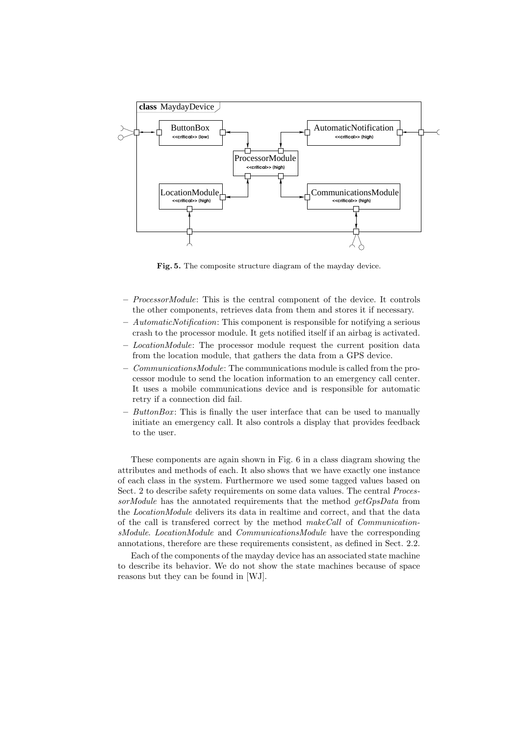

Fig. 5. The composite structure diagram of the mayday device.

- $-$  *ProcessorModule:* This is the central component of the device. It controls the other components, retrieves data from them and stores it if necessary.
- $-$  AutomaticNotification: This component is responsible for notifying a serious crash to the processor module. It gets notified itself if an airbag is activated.
- LocationModule: The processor module request the current position data from the location module, that gathers the data from a GPS device.
- CommunicationsModule: The communications module is called from the processor module to send the location information to an emergency call center. It uses a mobile communications device and is responsible for automatic retry if a connection did fail.
- ButtonBox : This is finally the user interface that can be used to manually initiate an emergency call. It also controls a display that provides feedback to the user.

These components are again shown in Fig. 6 in a class diagram showing the attributes and methods of each. It also shows that we have exactly one instance of each class in the system. Furthermore we used some tagged values based on Sect. 2 to describe safety requirements on some data values. The central ProcessorModule has the annotated requirements that the method getGpsData from the LocationModule delivers its data in realtime and correct, and that the data of the call is transfered correct by the method makeCall of CommunicationsModule. LocationModule and CommunicationsModule have the corresponding annotations, therefore are these requirements consistent, as defined in Sect. 2.2.

Each of the components of the mayday device has an associated state machine to describe its behavior. We do not show the state machines because of space reasons but they can be found in [WJ].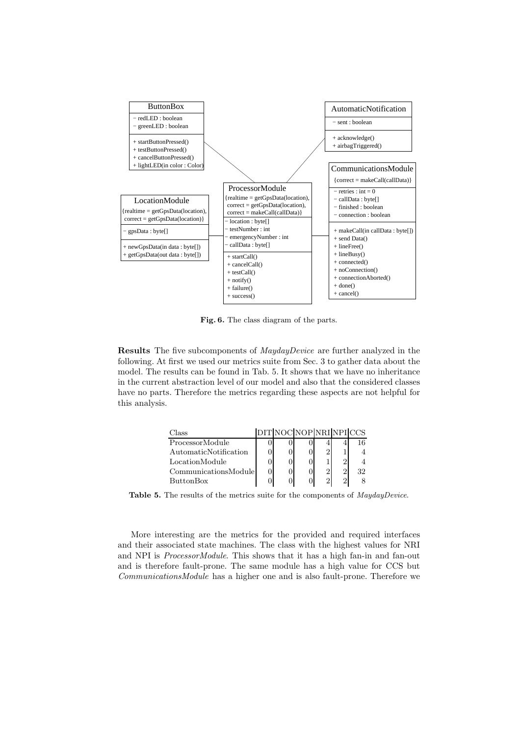

Fig. 6. The class diagram of the parts.

Results The five subcomponents of MaydayDevice are further analyzed in the following. At first we used our metrics suite from Sec. 3 to gather data about the model. The results can be found in Tab. 5. It shows that we have no inheritance in the current abstraction level of our model and also that the considered classes have no parts. Therefore the metrics regarding these aspects are not helpful for this analysis.

| Class                 | DIT NOC NOP NRI NPICCS |  |    |
|-----------------------|------------------------|--|----|
| ProcessorModule       |                        |  | 16 |
| AutomaticNotification |                        |  |    |
| LocationModule        |                        |  |    |
| CommunicationsModule  |                        |  | 32 |
| <b>ButtonBox</b>      |                        |  |    |

Table 5. The results of the metrics suite for the components of *MaydayDevice*.

More interesting are the metrics for the provided and required interfaces and their associated state machines. The class with the highest values for NRI and NPI is ProcessorModule. This shows that it has a high fan-in and fan-out and is therefore fault-prone. The same module has a high value for CCS but CommunicationsModule has a higher one and is also fault-prone. Therefore we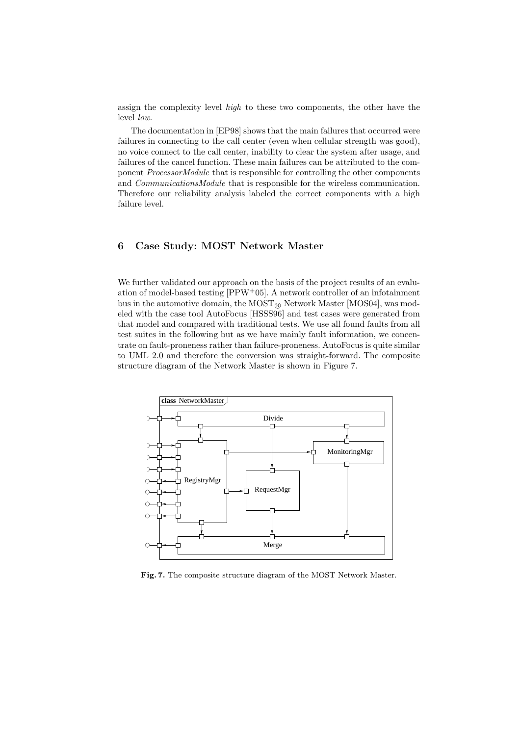assign the complexity level high to these two components, the other have the level low.

The documentation in [EP98] shows that the main failures that occurred were failures in connecting to the call center (even when cellular strength was good), no voice connect to the call center, inability to clear the system after usage, and failures of the cancel function. These main failures can be attributed to the component ProcessorModule that is responsible for controlling the other components and *CommunicationsModule* that is responsible for the wireless communication. Therefore our reliability analysis labeled the correct components with a high failure level.

# 6 Case Study: MOST Network Master

We further validated our approach on the basis of the project results of an evaluation of model-based testing [PPW<sup>+</sup>05]. A network controller of an infotainment bus in the automotive domain, the  $MOST_{\text{R}}$  Network Master [MOS04], was modeled with the case tool AutoFocus [HSSS96] and test cases were generated from that model and compared with traditional tests. We use all found faults from all test suites in the following but as we have mainly fault information, we concentrate on fault-proneness rather than failure-proneness. AutoFocus is quite similar to UML 2.0 and therefore the conversion was straight-forward. The composite structure diagram of the Network Master is shown in Figure 7.



Fig. 7. The composite structure diagram of the MOST Network Master.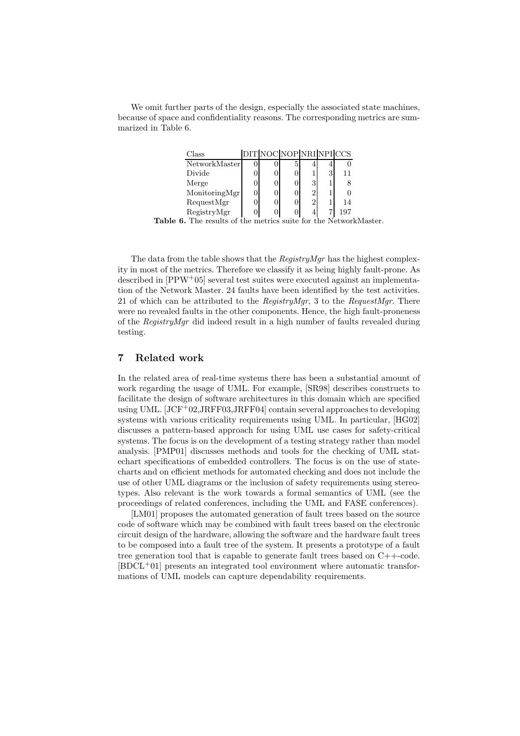We omit further parts of the design, especially the associated state machines, because of space and confidentiality reasons. The corresponding metrics are summarized in Table 6.

| Class         | DIT NOC NOP NRI NPICCS |   |     |
|---------------|------------------------|---|-----|
| NetworkMaster |                        |   |     |
| Divide        |                        |   | 11  |
| Merge         |                        | 3 |     |
| MonitoringMgr |                        | 2 |     |
| RequestMgr    |                        | 2 | 14  |
| RegistryMgr   |                        |   | 197 |

Table 6. The results of the metrics suite for the NetworkMaster.

The data from the table shows that the *RegistryMgr* has the highest complexity in most of the metrics. Therefore we classify it as being highly fault-prone. As described in [PPW<sup>+</sup>05] several test suites were executed against an implementation of the Network Master. 24 faults have been identified by the test activities. 21 of which can be attributed to the RegistryMgr, 3 to the RequestMgr. There were no revealed faults in the other components. Hence, the high fault-proneness of the RegistryMgr did indeed result in a high number of faults revealed during testing.

### 7 Related work

In the related area of real-time systems there has been a substantial amount of work regarding the usage of UML. For example, [SR98] describes constructs to facilitate the design of software architectures in this domain which are specified using UML.  $[JCF<sup>+</sup>02, JRFF03, JRFF04]$  contain several approaches to developing systems with various criticality requirements using UML. In particular, [HG02] discusses a pattern-based approach for using UML use cases for safety-critical systems. The focus is on the development of a testing strategy rather than model analysis. [PMP01] discusses methods and tools for the checking of UML statechart specifications of embedded controllers. The focus is on the use of statecharts and on efficient methods for automated checking and does not include the use of other UML diagrams or the inclusion of safety requirements using stereotypes. Also relevant is the work towards a formal semantics of UML (see the proceedings of related conferences, including the UML and FASE conferences).

[LM01] proposes the automated generation of fault trees based on the source code of software which may be combined with fault trees based on the electronic circuit design of the hardware, allowing the software and the hardware fault trees to be composed into a fault tree of the system. It presents a prototype of a fault tree generation tool that is capable to generate fault trees based on  $C++\text{-code}$ .  $[BDCL+01]$  presents an integrated tool environment where automatic transformations of UML models can capture dependability requirements.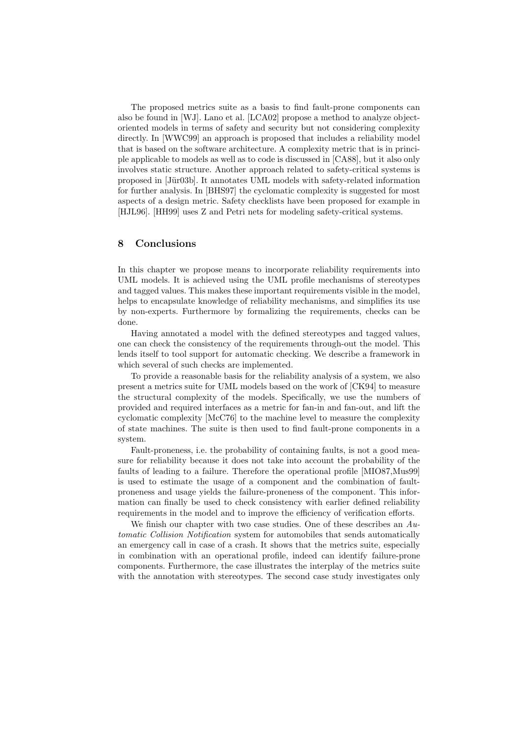The proposed metrics suite as a basis to find fault-prone components can also be found in [WJ]. Lano et al. [LCA02] propose a method to analyze objectoriented models in terms of safety and security but not considering complexity directly. In [WWC99] an approach is proposed that includes a reliability model that is based on the software architecture. A complexity metric that is in principle applicable to models as well as to code is discussed in [CA88], but it also only involves static structure. Another approach related to safety-critical systems is proposed in [Jür03b]. It annotates UML models with safety-related information for further analysis. In [BHS97] the cyclomatic complexity is suggested for most aspects of a design metric. Safety checklists have been proposed for example in [HJL96]. [HH99] uses Z and Petri nets for modeling safety-critical systems.

# 8 Conclusions

In this chapter we propose means to incorporate reliability requirements into UML models. It is achieved using the UML profile mechanisms of stereotypes and tagged values. This makes these important requirements visible in the model, helps to encapsulate knowledge of reliability mechanisms, and simplifies its use by non-experts. Furthermore by formalizing the requirements, checks can be done.

Having annotated a model with the defined stereotypes and tagged values, one can check the consistency of the requirements through-out the model. This lends itself to tool support for automatic checking. We describe a framework in which several of such checks are implemented.

To provide a reasonable basis for the reliability analysis of a system, we also present a metrics suite for UML models based on the work of [CK94] to measure the structural complexity of the models. Specifically, we use the numbers of provided and required interfaces as a metric for fan-in and fan-out, and lift the cyclomatic complexity [McC76] to the machine level to measure the complexity of state machines. The suite is then used to find fault-prone components in a system.

Fault-proneness, i.e. the probability of containing faults, is not a good measure for reliability because it does not take into account the probability of the faults of leading to a failure. Therefore the operational profile [MIO87,Mus99] is used to estimate the usage of a component and the combination of faultproneness and usage yields the failure-proneness of the component. This information can finally be used to check consistency with earlier defined reliability requirements in the model and to improve the efficiency of verification efforts.

We finish our chapter with two case studies. One of these describes an  $Au$ tomatic Collision Notification system for automobiles that sends automatically an emergency call in case of a crash. It shows that the metrics suite, especially in combination with an operational profile, indeed can identify failure-prone components. Furthermore, the case illustrates the interplay of the metrics suite with the annotation with stereotypes. The second case study investigates only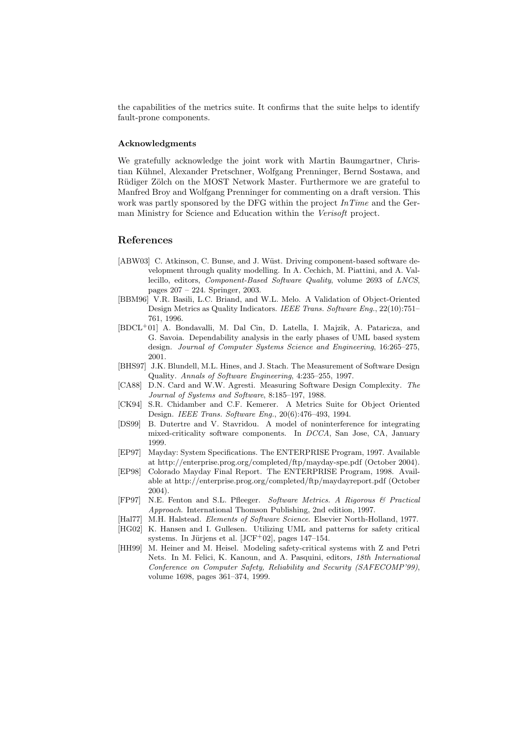the capabilities of the metrics suite. It confirms that the suite helps to identify fault-prone components.

#### Acknowledgments

We gratefully acknowledge the joint work with Martin Baumgartner, Christian Kühnel, Alexander Pretschner, Wolfgang Prenninger, Bernd Sostawa, and Rüdiger Zölch on the MOST Network Master. Furthermore we are grateful to Manfred Broy and Wolfgang Prenninger for commenting on a draft version. This work was partly sponsored by the DFG within the project InTime and the German Ministry for Science and Education within the Verisoft project.

#### References

- [ABW03] C. Atkinson, C. Bunse, and J. Wüst. Driving component-based software development through quality modelling. In A. Cechich, M. Piattini, and A. Vallecillo, editors, Component-Based Software Quality, volume 2693 of LNCS, pages 207 – 224. Springer, 2003.
- [BBM96] V.R. Basili, L.C. Briand, and W.L. Melo. A Validation of Object-Oriented Design Metrics as Quality Indicators. IEEE Trans. Software Eng., 22(10):751– 761, 1996.
- [BDCL<sup>+</sup>01] A. Bondavalli, M. Dal Cin, D. Latella, I. Majzik, A. Pataricza, and G. Savoia. Dependability analysis in the early phases of UML based system design. Journal of Computer Systems Science and Engineering, 16:265–275, 2001.
- [BHS97] J.K. Blundell, M.L. Hines, and J. Stach. The Measurement of Software Design Quality. Annals of Software Engineering, 4:235–255, 1997.
- [CA88] D.N. Card and W.W. Agresti. Measuring Software Design Complexity. The Journal of Systems and Software, 8:185–197, 1988.
- [CK94] S.R. Chidamber and C.F. Kemerer. A Metrics Suite for Object Oriented Design. IEEE Trans. Software Eng., 20(6):476–493, 1994.
- [DS99] B. Dutertre and V. Stavridou. A model of noninterference for integrating mixed-criticality software components. In DCCA, San Jose, CA, January 1999.
- [EP97] Mayday: System Specifications. The ENTERPRISE Program, 1997. Available at http://enterprise.prog.org/completed/ftp/mayday-spe.pdf (October 2004).
- [EP98] Colorado Mayday Final Report. The ENTERPRISE Program, 1998. Available at http://enterprise.prog.org/completed/ftp/maydayreport.pdf (October 2004).
- [FP97] N.E. Fenton and S.L. Pfleeger. Software Metrics. A Rigorous & Practical Approach. International Thomson Publishing, 2nd edition, 1997.
- [Hal77] M.H. Halstead. Elements of Software Science. Elsevier North-Holland, 1977.
- [HG02] K. Hansen and I. Gullesen. Utilizing UML and patterns for safety critical systems. In Jürjens et al.  $[JCF<sup>+</sup>02]$ , pages 147–154.
- [HH99] M. Heiner and M. Heisel. Modeling safety-critical systems with Z and Petri Nets. In M. Felici, K. Kanoun, and A. Pasquini, editors, 18th International Conference on Computer Safety, Reliability and Security (SAFECOMP'99), volume 1698, pages 361–374, 1999.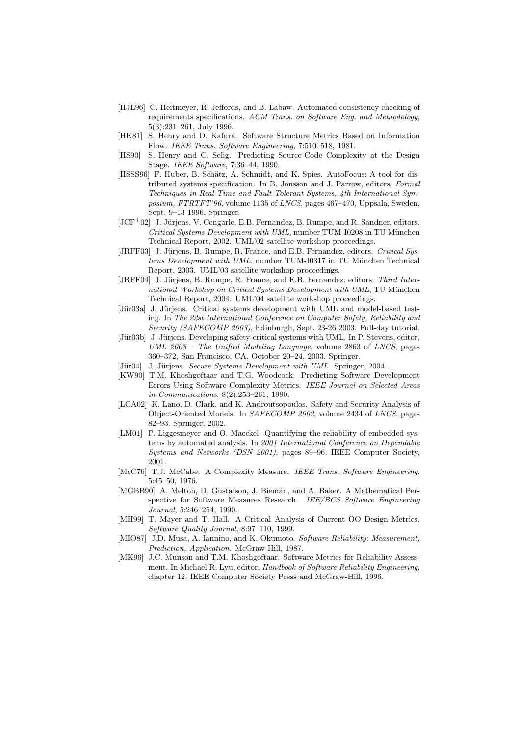- [HJL96] C. Heitmeyer, R. Jeffords, and B. Labaw. Automated consistency checking of requirements specifications. ACM Trans. on Software Eng. and Methodology, 5(3):231–261, July 1996.
- [HK81] S. Henry and D. Kafura. Software Structure Metrics Based on Information Flow. IEEE Trans. Software Engineering, 7:510–518, 1981.
- [HS90] S. Henry and C. Selig. Predicting Source-Code Complexity at the Design Stage. IEEE Software, 7:36–44, 1990.
- [HSSS96] F. Huber, B. Schätz, A. Schmidt, and K. Spies. AutoFocus: A tool for distributed systems specification. In B. Jonsson and J. Parrow, editors, Formal Techniques in Real-Time and Fault-Tolerant Systems, 4th International Symposium, FTRTFT'96, volume 1135 of LNCS, pages 467–470, Uppsala, Sweden, Sept. 9–13 1996. Springer.
- $[JCF<sup>+</sup>02]$  J. Jürjens, V. Cengarle, E.B. Fernandez, B. Rumpe, and R. Sandner, editors. Critical Systems Development with UML, number TUM-I0208 in TU München Technical Report, 2002. UML'02 satellite workshop proceedings.
- [JRFF03] J. Jürjens, B. Rumpe, R. France, and E.B. Fernandez, editors. Critical Sys $tems$  Development with  $UML$ , number TUM-I0317 in TU München Technical Report, 2003. UML'03 satellite workshop proceedings.
- [JRFF04] J. Jürjens, B. Rumpe, R. France, and E.B. Fernandez, editors. Third International Workshop on Critical Systems Development with UML, TU München Technical Report, 2004. UML'04 satellite workshop proceedings.
- [Jür03a] J. Jürjens. Critical systems development with UML and model-based testing. In The 22st International Conference on Computer Safety, Reliability and Security (SAFECOMP 2003), Edinburgh, Sept. 23-26 2003. Full-day tutorial.
- [Jür03b] J. Jürjens. Developing safety-critical systems with UML. In P. Stevens, editor, UML 2003 – The Unified Modeling Language, volume 2863 of LNCS, pages 360–372, San Francisco, CA, October 20–24, 2003. Springer.
- [Jür04] J. Jürjens. Secure Systems Development with UML. Springer, 2004.
- [KW90] T.M. Khoshgoftaar and T.G. Woodcock. Predicting Software Development Errors Using Software Complexity Metrics. IEEE Journal on Selected Areas in Communications, 8(2):253–261, 1990.
- [LCA02] K. Lano, D. Clark, and K. Androutsopoulos. Safety and Security Analysis of Object-Oriented Models. In SAFECOMP 2002, volume 2434 of LNCS, pages 82–93. Springer, 2002.
- [LM01] P. Liggesmeyer and O. Maeckel. Quantifying the reliability of embedded systems by automated analysis. In 2001 International Conference on Dependable Systems and Networks (DSN 2001), pages 89–96. IEEE Computer Society, 2001.
- [McC76] T.J. McCabe. A Complexity Measure. IEEE Trans. Software Engineering, 5:45–50, 1976.
- [MGBB90] A. Melton, D. Gustafson, J. Bieman, and A. Baker. A Mathematical Perspective for Software Measures Research. IEE/BCS Software Engineering Journal, 5:246–254, 1990.
- [MH99] T. Mayer and T. Hall. A Critical Analysis of Current OO Design Metrics. Software Quality Journal, 8:97–110, 1999.
- [MIO87] J.D. Musa, A. Iannino, and K. Okumoto. Software Reliability: Measurement, Prediction, Application. McGraw-Hill, 1987.
- [MK96] J.C. Munson and T.M. Khoshgoftaar. Software Metrics for Reliability Assessment. In Michael R. Lyu, editor, Handbook of Software Reliability Engineering, chapter 12. IEEE Computer Society Press and McGraw-Hill, 1996.